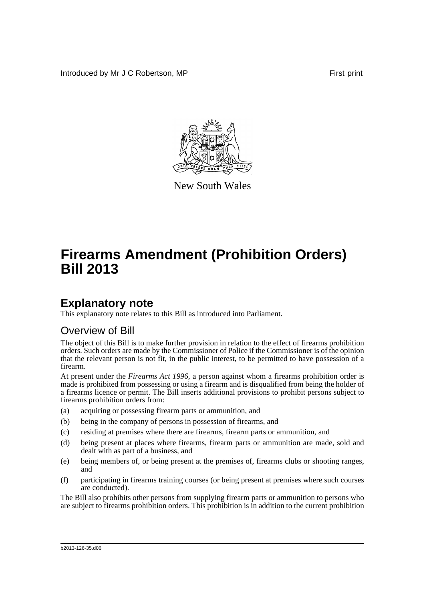Introduced by Mr J C Robertson, MP **First** print



New South Wales

# **Firearms Amendment (Prohibition Orders) Bill 2013**

## **Explanatory note**

This explanatory note relates to this Bill as introduced into Parliament.

### Overview of Bill

The object of this Bill is to make further provision in relation to the effect of firearms prohibition orders. Such orders are made by the Commissioner of Police if the Commissioner is of the opinion that the relevant person is not fit, in the public interest, to be permitted to have possession of a firearm.

At present under the *Firearms Act 1996*, a person against whom a firearms prohibition order is made is prohibited from possessing or using a firearm and is disqualified from being the holder of a firearms licence or permit. The Bill inserts additional provisions to prohibit persons subject to firearms prohibition orders from:

- (a) acquiring or possessing firearm parts or ammunition, and
- (b) being in the company of persons in possession of firearms, and
- (c) residing at premises where there are firearms, firearm parts or ammunition, and
- (d) being present at places where firearms, firearm parts or ammunition are made, sold and dealt with as part of a business, and
- (e) being members of, or being present at the premises of, firearms clubs or shooting ranges, and
- (f) participating in firearms training courses (or being present at premises where such courses are conducted).

The Bill also prohibits other persons from supplying firearm parts or ammunition to persons who are subject to firearms prohibition orders. This prohibition is in addition to the current prohibition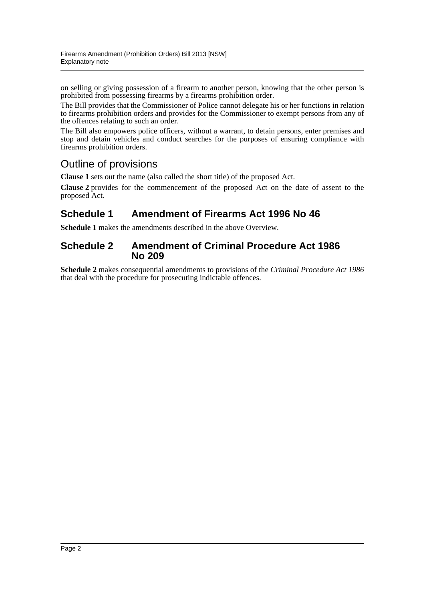on selling or giving possession of a firearm to another person, knowing that the other person is prohibited from possessing firearms by a firearms prohibition order.

The Bill provides that the Commissioner of Police cannot delegate his or her functions in relation to firearms prohibition orders and provides for the Commissioner to exempt persons from any of the offences relating to such an order.

The Bill also empowers police officers, without a warrant, to detain persons, enter premises and stop and detain vehicles and conduct searches for the purposes of ensuring compliance with firearms prohibition orders.

## Outline of provisions

**Clause 1** sets out the name (also called the short title) of the proposed Act.

**Clause 2** provides for the commencement of the proposed Act on the date of assent to the proposed Act.

### **Schedule 1 Amendment of Firearms Act 1996 No 46**

**Schedule 1** makes the amendments described in the above Overview.

#### **Schedule 2 Amendment of Criminal Procedure Act 1986 No 209**

**Schedule 2** makes consequential amendments to provisions of the *Criminal Procedure Act 1986* that deal with the procedure for prosecuting indictable offences.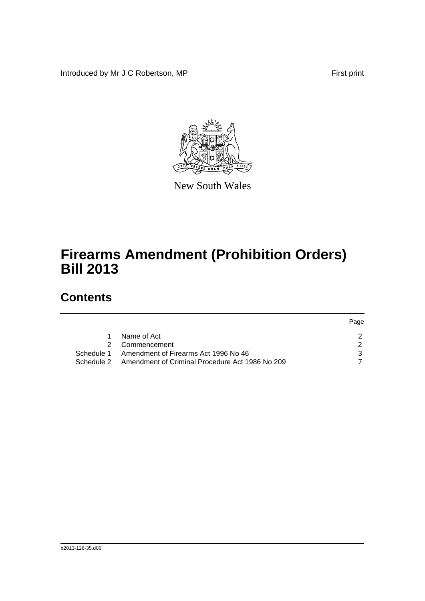Introduced by Mr J C Robertson, MP First print

Page



New South Wales

# **Firearms Amendment (Prohibition Orders) Bill 2013**

## **Contents**

|            |                                                 | <b>Page</b> |
|------------|-------------------------------------------------|-------------|
|            | Name of Act                                     |             |
|            | 2 Commencement                                  |             |
| Schedule 1 | Amendment of Firearms Act 1996 No 46            |             |
| Schedule 2 | Amendment of Criminal Procedure Act 1986 No 209 |             |
|            |                                                 |             |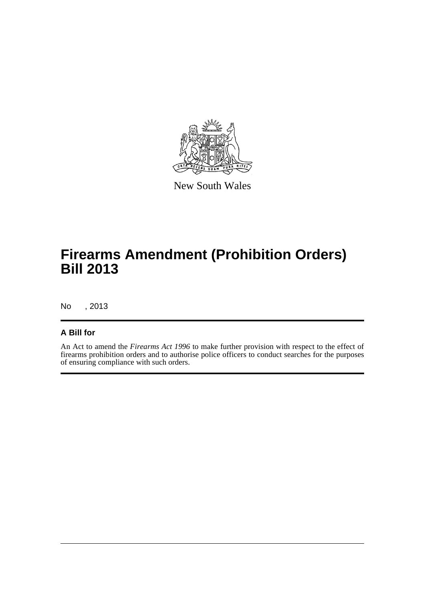

New South Wales

# **Firearms Amendment (Prohibition Orders) Bill 2013**

No , 2013

#### **A Bill for**

An Act to amend the *Firearms Act 1996* to make further provision with respect to the effect of firearms prohibition orders and to authorise police officers to conduct searches for the purposes of ensuring compliance with such orders.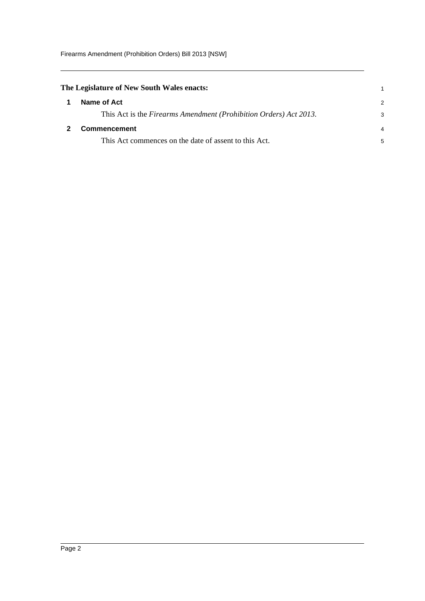<span id="page-4-1"></span><span id="page-4-0"></span>

| Name of Act                                                       | $\mathcal{P}$                              |
|-------------------------------------------------------------------|--------------------------------------------|
| This Act is the Firearms Amendment (Prohibition Orders) Act 2013. | 3                                          |
| <b>Commencement</b>                                               | 4                                          |
| This Act commences on the date of assent to this Act.             | 5                                          |
|                                                                   | The Legislature of New South Wales enacts: |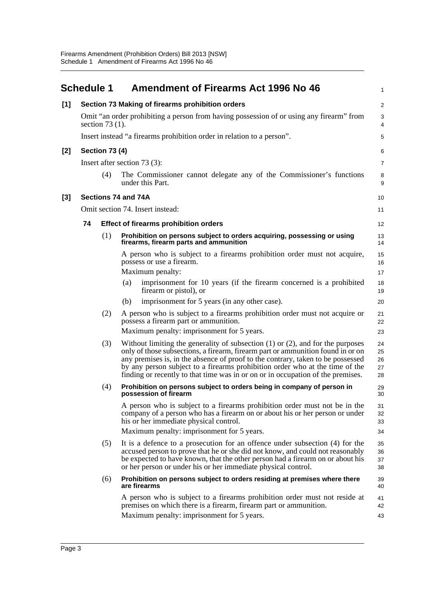<span id="page-5-0"></span>

|                                                                                                               | <b>Schedule 1</b> |                       |     | <b>Amendment of Firearms Act 1996 No 46</b>                                                                                                                                                                                                                                                                                                                                                                                  | 1                          |
|---------------------------------------------------------------------------------------------------------------|-------------------|-----------------------|-----|------------------------------------------------------------------------------------------------------------------------------------------------------------------------------------------------------------------------------------------------------------------------------------------------------------------------------------------------------------------------------------------------------------------------------|----------------------------|
| [1]                                                                                                           |                   |                       |     | Section 73 Making of firearms prohibition orders                                                                                                                                                                                                                                                                                                                                                                             | $\sqrt{2}$                 |
| Omit "an order prohibiting a person from having possession of or using any firearm" from<br>section $73(1)$ . |                   |                       |     | 3<br>$\overline{4}$                                                                                                                                                                                                                                                                                                                                                                                                          |                            |
|                                                                                                               |                   |                       |     | Insert instead "a firearms prohibition order in relation to a person".                                                                                                                                                                                                                                                                                                                                                       | 5                          |
| $[2]$                                                                                                         |                   | <b>Section 73 (4)</b> |     |                                                                                                                                                                                                                                                                                                                                                                                                                              | 6                          |
|                                                                                                               |                   |                       |     | Insert after section 73 (3):                                                                                                                                                                                                                                                                                                                                                                                                 | $\overline{7}$             |
|                                                                                                               |                   | (4)                   |     | The Commissioner cannot delegate any of the Commissioner's functions<br>under this Part.                                                                                                                                                                                                                                                                                                                                     | 8<br>9                     |
| $[3]$                                                                                                         |                   | Sections 74 and 74A   |     |                                                                                                                                                                                                                                                                                                                                                                                                                              | 10                         |
|                                                                                                               |                   |                       |     | Omit section 74. Insert instead:                                                                                                                                                                                                                                                                                                                                                                                             | 11                         |
|                                                                                                               | 74                |                       |     | <b>Effect of firearms prohibition orders</b>                                                                                                                                                                                                                                                                                                                                                                                 | 12                         |
|                                                                                                               |                   | (1)                   |     | Prohibition on persons subject to orders acquiring, possessing or using<br>firearms, firearm parts and ammunition                                                                                                                                                                                                                                                                                                            | 13<br>14                   |
|                                                                                                               |                   |                       |     | A person who is subject to a firearms prohibition order must not acquire,<br>possess or use a firearm.                                                                                                                                                                                                                                                                                                                       | 15<br>16                   |
|                                                                                                               |                   |                       |     | Maximum penalty:                                                                                                                                                                                                                                                                                                                                                                                                             | 17                         |
|                                                                                                               |                   |                       | (a) | imprisonment for 10 years (if the firearm concerned is a prohibited<br>firearm or pistol), or                                                                                                                                                                                                                                                                                                                                | 18<br>19                   |
|                                                                                                               |                   |                       | (b) | imprisonment for 5 years (in any other case).                                                                                                                                                                                                                                                                                                                                                                                | 20                         |
|                                                                                                               |                   | (2)                   |     | A person who is subject to a firearms prohibition order must not acquire or<br>possess a firearm part or ammunition.                                                                                                                                                                                                                                                                                                         | 21<br>22                   |
|                                                                                                               |                   |                       |     | Maximum penalty: imprisonment for 5 years.                                                                                                                                                                                                                                                                                                                                                                                   | 23                         |
|                                                                                                               |                   | (3)                   |     | Without limiting the generality of subsection $(1)$ or $(2)$ , and for the purposes<br>only of those subsections, a firearm, firearm part or ammunition found in or on<br>any premises is, in the absence of proof to the contrary, taken to be possessed<br>by any person subject to a firearms prohibition order who at the time of the<br>finding or recently to that time was in or on or in occupation of the premises. | 24<br>25<br>26<br>27<br>28 |
|                                                                                                               |                   | (4)                   |     | Prohibition on persons subject to orders being in company of person in<br>possession of firearm                                                                                                                                                                                                                                                                                                                              | 29<br>30                   |
|                                                                                                               |                   |                       |     | A person who is subject to a firearms prohibition order must not be in the<br>company of a person who has a firearm on or about his or her person or under<br>his or her immediate physical control.                                                                                                                                                                                                                         | 31<br>32<br>33             |
|                                                                                                               |                   |                       |     | Maximum penalty: imprisonment for 5 years.                                                                                                                                                                                                                                                                                                                                                                                   | 34                         |
|                                                                                                               |                   | (5)                   |     | It is a defence to a prosecution for an offence under subsection (4) for the<br>accused person to prove that he or she did not know, and could not reasonably<br>be expected to have known, that the other person had a firearm on or about his<br>or her person or under his or her immediate physical control.                                                                                                             | 35<br>36<br>37<br>38       |
|                                                                                                               |                   | (6)                   |     | Prohibition on persons subject to orders residing at premises where there<br>are firearms                                                                                                                                                                                                                                                                                                                                    | 39<br>40                   |
|                                                                                                               |                   |                       |     | A person who is subject to a firearms prohibition order must not reside at<br>premises on which there is a firearm, firearm part or ammunition.<br>Maximum penalty: imprisonment for 5 years.                                                                                                                                                                                                                                | 41<br>42<br>43             |
|                                                                                                               |                   |                       |     |                                                                                                                                                                                                                                                                                                                                                                                                                              |                            |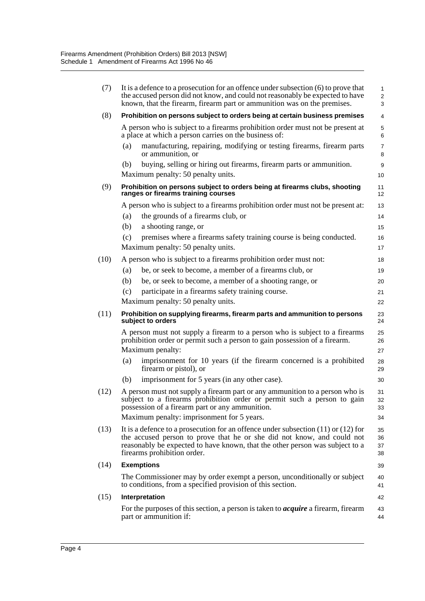| (7)  | It is a defence to a prosecution for an offence under subsection $(6)$ to prove that<br>the accused person did not know, and could not reasonably be expected to have<br>known, that the firearm, firearm part or ammunition was on the premises.                                                                                             |                                  |  |
|------|-----------------------------------------------------------------------------------------------------------------------------------------------------------------------------------------------------------------------------------------------------------------------------------------------------------------------------------------------|----------------------------------|--|
| (8)  | Prohibition on persons subject to orders being at certain business premises                                                                                                                                                                                                                                                                   | 4                                |  |
|      | A person who is subject to a firearms prohibition order must not be present at<br>a place at which a person carries on the business of:                                                                                                                                                                                                       | 5<br>6                           |  |
|      | manufacturing, repairing, modifying or testing firearms, firearm parts<br>(a)<br>or ammunition, or                                                                                                                                                                                                                                            | 7<br>8                           |  |
|      | buying, selling or hiring out firearms, firearm parts or ammunition.<br>(b)<br>Maximum penalty: 50 penalty units.                                                                                                                                                                                                                             | 9<br>10                          |  |
| (9)  | Prohibition on persons subject to orders being at firearms clubs, shooting<br>ranges or firearms training courses                                                                                                                                                                                                                             | 11<br>12                         |  |
|      | A person who is subject to a firearms prohibition order must not be present at:<br>the grounds of a firearms club, or<br>(a)<br>(b)<br>a shooting range, or<br>premises where a firearms safety training course is being conducted.<br>(c)<br>Maximum penalty: 50 penalty units.                                                              | 13<br>14<br>15<br>16<br>17       |  |
| (10) | A person who is subject to a firearms prohibition order must not:<br>be, or seek to become, a member of a firearms club, or<br>(a)<br>be, or seek to become, a member of a shooting range, or<br>(b)<br>participate in a firearms safety training course.<br>(c)<br>Maximum penalty: 50 penalty units.                                        | 18<br>19<br>20<br>21<br>22       |  |
| (11) | Prohibition on supplying firearms, firearm parts and ammunition to persons<br>subject to orders                                                                                                                                                                                                                                               | 23<br>24                         |  |
|      | A person must not supply a firearm to a person who is subject to a firearms<br>prohibition order or permit such a person to gain possession of a firearm.<br>Maximum penalty:<br>imprisonment for 10 years (if the firearm concerned is a prohibited<br>(a)<br>firearm or pistol), or<br>imprisonment for 5 years (in any other case).<br>(b) | 25<br>26<br>27<br>28<br>29<br>30 |  |
| (12) | A person must not supply a firearm part or any ammunition to a person who is<br>subject to a firearms prohibition order or permit such a person to gain<br>possession of a firearm part or any ammunition.<br>Maximum penalty: imprisonment for 5 years.                                                                                      | 31<br>32<br>33<br>34             |  |
| (13) | It is a defence to a prosecution for an offence under subsection $(11)$ or $(12)$ for<br>the accused person to prove that he or she did not know, and could not<br>reasonably be expected to have known, that the other person was subject to a<br>firearms prohibition order.                                                                | 35<br>36<br>37<br>38             |  |
| (14) | <b>Exemptions</b>                                                                                                                                                                                                                                                                                                                             | 39                               |  |
|      | The Commissioner may by order exempt a person, unconditionally or subject<br>to conditions, from a specified provision of this section.                                                                                                                                                                                                       | 40<br>41                         |  |
| (15) | Interpretation                                                                                                                                                                                                                                                                                                                                | 42                               |  |
|      | For the purposes of this section, a person is taken to <i>acquire</i> a firearm, firearm<br>part or ammunition if:                                                                                                                                                                                                                            | 43<br>44                         |  |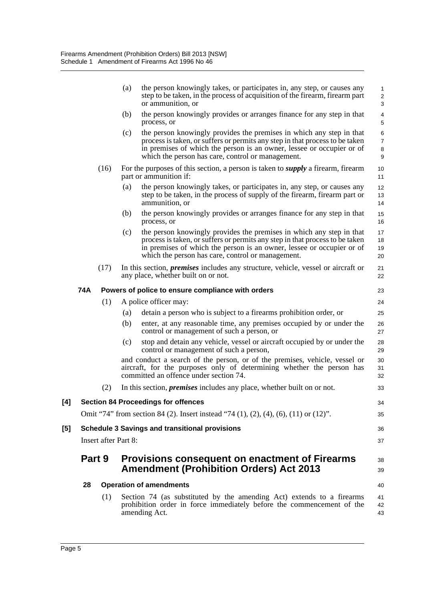|     |     |                             | (a) | the person knowingly takes, or participates in, any step, or causes any<br>step to be taken, in the process of acquisition of the firearm, firearm part<br>or ammunition, or                                                                                                       | $\mathbf{1}$<br>$\overline{\mathbf{c}}$<br>3           |
|-----|-----|-----------------------------|-----|------------------------------------------------------------------------------------------------------------------------------------------------------------------------------------------------------------------------------------------------------------------------------------|--------------------------------------------------------|
|     |     |                             | (b) | the person knowingly provides or arranges finance for any step in that<br>process, or                                                                                                                                                                                              | $\overline{4}$<br>$\sqrt{5}$                           |
|     |     |                             | (c) | the person knowingly provides the premises in which any step in that<br>process is taken, or suffers or permits any step in that process to be taken<br>in premises of which the person is an owner, lessee or occupier or of<br>which the person has care, control or management. | $\,6$<br>$\overline{7}$<br>$\,8\,$<br>$\boldsymbol{9}$ |
|     |     | (16)                        |     | For the purposes of this section, a person is taken to <i>supply</i> a firearm, firearm<br>part or ammunition if:                                                                                                                                                                  | 10<br>11                                               |
|     |     |                             | (a) | the person knowingly takes, or participates in, any step, or causes any<br>step to be taken, in the process of supply of the firearm, firearm part or<br>ammunition, or                                                                                                            | 12<br>13<br>14                                         |
|     |     |                             | (b) | the person knowingly provides or arranges finance for any step in that<br>process, or                                                                                                                                                                                              | 15<br>16                                               |
|     |     |                             | (c) | the person knowingly provides the premises in which any step in that<br>process is taken, or suffers or permits any step in that process to be taken<br>in premises of which the person is an owner, lessee or occupier or of<br>which the person has care, control or management. | 17<br>18<br>19<br>20                                   |
|     |     | (17)                        |     | In this section, <i>premises</i> includes any structure, vehicle, vessel or aircraft or<br>any place, whether built on or not.                                                                                                                                                     | 21<br>22                                               |
|     | 74A |                             |     | Powers of police to ensure compliance with orders                                                                                                                                                                                                                                  | 23                                                     |
|     |     | (1)                         |     | A police officer may:                                                                                                                                                                                                                                                              | 24                                                     |
|     |     |                             | (a) | detain a person who is subject to a firearms prohibition order, or                                                                                                                                                                                                                 | 25                                                     |
|     |     |                             | (b) | enter, at any reasonable time, any premises occupied by or under the<br>control or management of such a person, or                                                                                                                                                                 | 26<br>27                                               |
|     |     |                             | (c) | stop and detain any vehicle, vessel or aircraft occupied by or under the<br>control or management of such a person,                                                                                                                                                                | 28<br>29                                               |
|     |     |                             |     | and conduct a search of the person, or of the premises, vehicle, vessel or<br>aircraft, for the purposes only of determining whether the person has<br>committed an offence under section 74.                                                                                      | 30<br>31<br>32                                         |
|     |     | (2)                         |     | In this section, <i>premises</i> includes any place, whether built on or not.                                                                                                                                                                                                      | 33                                                     |
| [4] |     |                             |     | <b>Section 84 Proceedings for offences</b>                                                                                                                                                                                                                                         | 34                                                     |
|     |     |                             |     | Omit "74" from section 84 (2). Insert instead "74 (1), (2), (4), (6), (11) or (12)".                                                                                                                                                                                               | 35                                                     |
| [5] |     |                             |     | <b>Schedule 3 Savings and transitional provisions</b>                                                                                                                                                                                                                              | 36                                                     |
|     |     | <b>Insert after Part 8:</b> |     |                                                                                                                                                                                                                                                                                    | 37                                                     |
|     |     | Part 9                      |     | Provisions consequent on enactment of Firearms<br><b>Amendment (Prohibition Orders) Act 2013</b>                                                                                                                                                                                   | 38<br>39                                               |
|     | 28  |                             |     | <b>Operation of amendments</b>                                                                                                                                                                                                                                                     | 40                                                     |
|     |     | (1)                         |     | Section 74 (as substituted by the amending Act) extends to a firearms<br>prohibition order in force immediately before the commencement of the<br>amending Act.                                                                                                                    | 41<br>42<br>43                                         |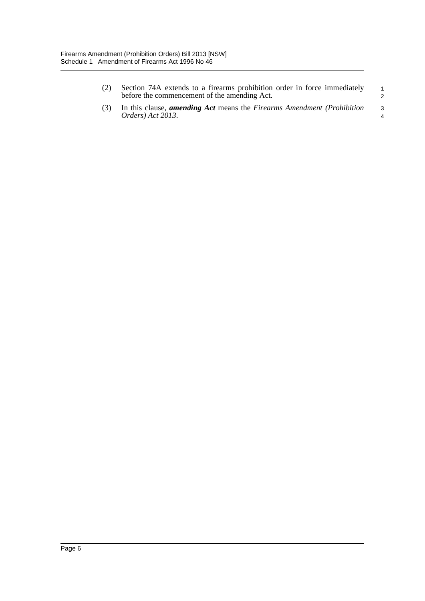| (2) | Section 74A extends to a firearms prohibition order in force immediately<br>before the commencement of the amending Act. | $\overline{1}$       |
|-----|--------------------------------------------------------------------------------------------------------------------------|----------------------|
|     | (3) In this clause, <i>amending Act</i> means the <i>Firearms Amendment (Prohibition</i> )<br>Orders) Act 2013.          | ્વ<br>$\overline{4}$ |